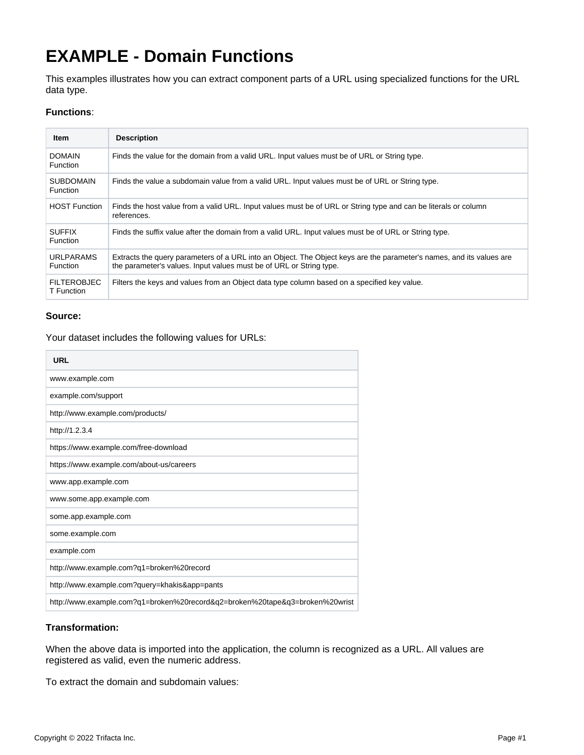# **EXAMPLE - Domain Functions**

This examples illustrates how you can extract component parts of a URL using specialized functions for the URL data type.

## **Functions**:

| <b>Item</b>                      | <b>Description</b>                                                                                                                                                                          |
|----------------------------------|---------------------------------------------------------------------------------------------------------------------------------------------------------------------------------------------|
| <b>DOMAIN</b><br>Function        | Finds the value for the domain from a valid URL. Input values must be of URL or String type.                                                                                                |
| <b>SUBDOMAIN</b><br>Function     | Finds the value a subdomain value from a valid URL. Input values must be of URL or String type.                                                                                             |
| <b>HOST Function</b>             | Finds the host value from a valid URL. Input values must be of URL or String type and can be literals or column<br>references.                                                              |
| <b>SUFFIX</b><br>Function        | Finds the suffix value after the domain from a valid URL. Input values must be of URL or String type.                                                                                       |
| <b>URLPARAMS</b><br>Function     | Extracts the query parameters of a URL into an Object. The Object keys are the parameter's names, and its values are<br>the parameter's values. Input values must be of URL or String type. |
| <b>FILTEROBJEC</b><br>T Function | Filters the keys and values from an Object data type column based on a specified key value.                                                                                                 |

#### **Source:**

Your dataset includes the following values for URLs:

| URL                                                                          |
|------------------------------------------------------------------------------|
| www.example.com                                                              |
| example.com/support                                                          |
| http://www.example.com/products/                                             |
| http://1.2.3.4                                                               |
| https://www.example.com/free-download                                        |
| https://www.example.com/about-us/careers                                     |
| www.app.example.com                                                          |
| www.some.app.example.com                                                     |
| some.app.example.com                                                         |
| some.example.com                                                             |
| example.com                                                                  |
| http://www.example.com?q1=broken%20record                                    |
| http://www.example.com?query=khakis&app=pants                                |
| http://www.example.com?q1=broken%20record&q2=broken%20tape&q3=broken%20wrist |

#### **Transformation:**

When the above data is imported into the application, the column is recognized as a URL. All values are registered as valid, even the numeric address.

To extract the domain and subdomain values: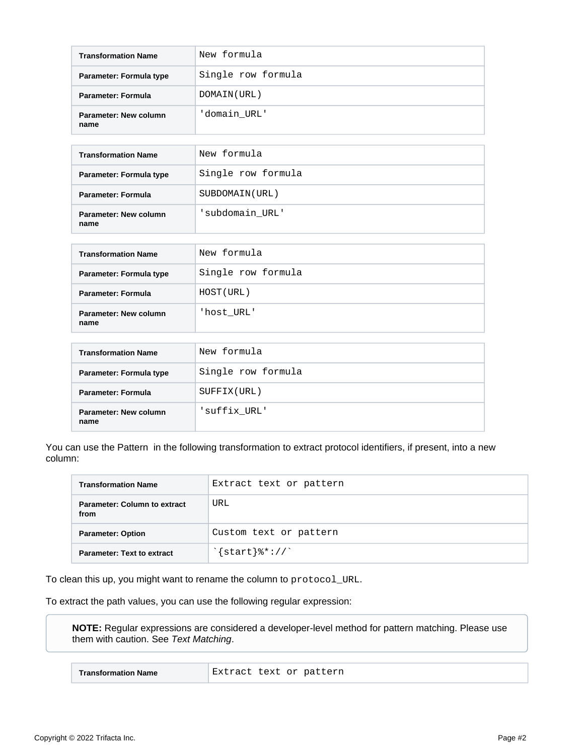| <b>Transformation Name</b>    | New formula        |
|-------------------------------|--------------------|
| Parameter: Formula type       | Single row formula |
| <b>Parameter: Formula</b>     | DOMAIN (URL)       |
| Parameter: New column<br>name | 'domain URL'       |

| <b>Transformation Name</b>    | New formula        |
|-------------------------------|--------------------|
| Parameter: Formula type       | Single row formula |
| Parameter: Formula            | SUBDOMAIN (URL)    |
| Parameter: New column<br>name | 'subdomain URL'    |

| <b>Transformation Name</b>    | New formula        |
|-------------------------------|--------------------|
| Parameter: Formula type       | Single row formula |
| <b>Parameter: Formula</b>     | HOST (URL)         |
| Parameter: New column<br>name | 'host URL'         |

| <b>Transformation Name</b>    | New formula        |
|-------------------------------|--------------------|
| Parameter: Formula type       | Single row formula |
| Parameter: Formula            | SUFFIX(URL)        |
| Parameter: New column<br>name | 'suffix URL'       |

You can use the Pattern in the following transformation to extract protocol identifiers, if present, into a new column:

| <b>Transformation Name</b>                  | Extract text or pattern                |
|---------------------------------------------|----------------------------------------|
| <b>Parameter: Column to extract</b><br>from | URL                                    |
| <b>Parameter: Option</b>                    | Custom text or pattern                 |
| <b>Parameter: Text to extract</b>           | $\frac{1}{2}$ start $\frac{1}{2}$ : // |

To clean this up, you might want to rename the column to protocol\_URL.

To extract the path values, you can use the following regular expression:

**NOTE:** Regular expressions are considered a developer-level method for pattern matching. Please use them with caution. See [Text Matching](https://docs.trifacta.com/display/AWS/Text+Matching).

|--|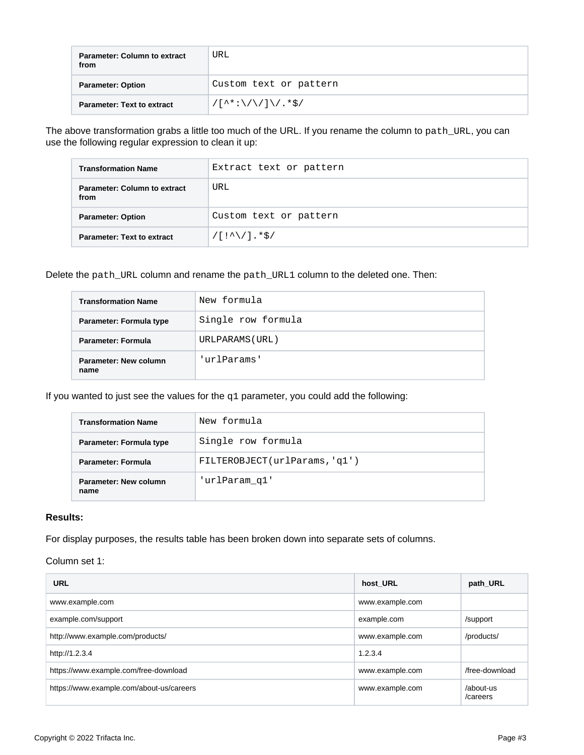| <b>Parameter: Column to extract</b><br>from | URL                    |
|---------------------------------------------|------------------------|
| <b>Parameter: Option</b>                    | Custom text or pattern |
| <b>Parameter: Text to extract</b>           | $/($ ^*:\/\/ ]\/. *\$/ |

The above transformation grabs a little too much of the URL. If you rename the column to path\_URL, you can use the following regular expression to clean it up:

| <b>Transformation Name</b>                  | Extract text or pattern |
|---------------------------------------------|-------------------------|
| <b>Parameter: Column to extract</b><br>from | URL                     |
| <b>Parameter: Option</b>                    | Custom text or pattern  |
| <b>Parameter: Text to extract</b>           | $/$ [!^\/].*\$/         |

Delete the path\_URL column and rename the path\_URL1 column to the deleted one. Then:

| <b>Transformation Name</b>    | New formula        |
|-------------------------------|--------------------|
| Parameter: Formula type       | Single row formula |
| <b>Parameter: Formula</b>     | URLPARAMS (URL)    |
| Parameter: New column<br>name | 'urlParams'        |

If you wanted to just see the values for the  $q1$  parameter, you could add the following:

| <b>Transformation Name</b>    | New formula                   |
|-------------------------------|-------------------------------|
| Parameter: Formula type       | Single row formula            |
| <b>Parameter: Formula</b>     | FILTEROBJECT(urlParams, 'q1') |
| Parameter: New column<br>name | 'urlParam_q1'                 |

#### **Results:**

For display purposes, the results table has been broken down into separate sets of columns.

Column set 1:

| <b>URL</b>                               | host URL        | path_URL              |
|------------------------------------------|-----------------|-----------------------|
| www.example.com                          | www.example.com |                       |
| example.com/support                      | example.com     | /support              |
| http://www.example.com/products/         | www.example.com | /products/            |
| http://1.2.3.4                           | 1.2.3.4         |                       |
| https://www.example.com/free-download    | www.example.com | /free-download        |
| https://www.example.com/about-us/careers | www.example.com | /about-us<br>/careers |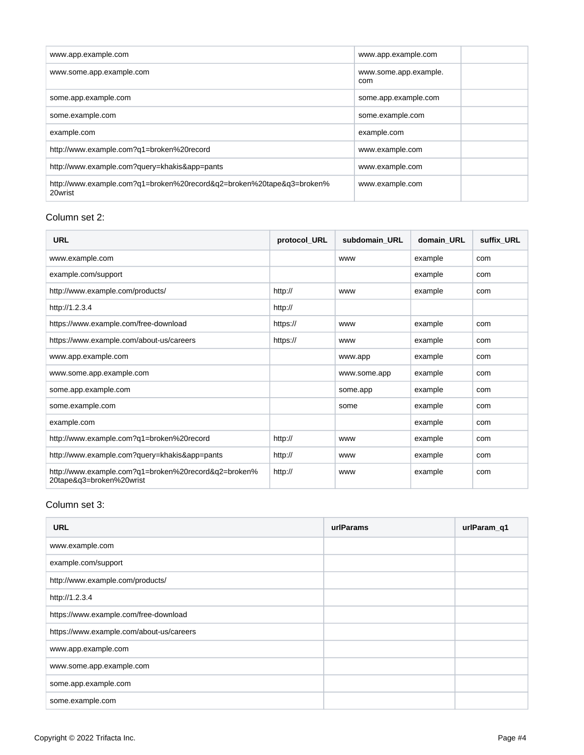| www.app.example.com                                                              | www.app.example.com          |
|----------------------------------------------------------------------------------|------------------------------|
| www.some.app.example.com                                                         | www.some.app.example.<br>com |
| some.app.example.com                                                             | some.app.example.com         |
| some.example.com                                                                 | some.example.com             |
| example.com                                                                      | example.com                  |
| http://www.example.com?q1=broken%20record                                        | www.example.com              |
| http://www.example.com?query=khakis&app=pants                                    | www.example.com              |
| http://www.example.com?g1=broken%20record&g2=broken%20tape&g3=broken%<br>20wrist | www.example.com              |

### Column set 2:

| <b>URL</b>                                                                       | protocol URL | subdomain URL | domain URL | suffix URL |
|----------------------------------------------------------------------------------|--------------|---------------|------------|------------|
| www.example.com                                                                  |              | <b>WWW</b>    | example    | com        |
| example.com/support                                                              |              |               | example    | com        |
| http://www.example.com/products/                                                 | http://      | <b>WWW</b>    | example    | com        |
| http://1.2.3.4                                                                   | http://      |               |            |            |
| https://www.example.com/free-download                                            | https://     | <b>WWW</b>    | example    | com        |
| https://www.example.com/about-us/careers                                         | https://     | <b>WWW</b>    | example    | com        |
| www.app.example.com                                                              |              | www.app       | example    | com        |
| www.some.app.example.com                                                         |              | www.some.app  | example    | com        |
| some.app.example.com                                                             |              | some.app      | example    | com        |
| some.example.com                                                                 |              | some          | example    | com        |
| example.com                                                                      |              |               | example    | com        |
| http://www.example.com?q1=broken%20record                                        | http://      | <b>WWW</b>    | example    | com        |
| http://www.example.com?query=khakis&app=pants                                    | http://      | <b>WWW</b>    | example    | com        |
| http://www.example.com?q1=broken%20record&q2=broken%<br>20tape&q3=broken%20wrist | http://      | <b>WWW</b>    | example    | com        |

#### Column set 3:

| <b>URL</b>                               | urlParams | urlParam_q1 |
|------------------------------------------|-----------|-------------|
| www.example.com                          |           |             |
| example.com/support                      |           |             |
| http://www.example.com/products/         |           |             |
| http://1.2.3.4                           |           |             |
| https://www.example.com/free-download    |           |             |
| https://www.example.com/about-us/careers |           |             |
| www.app.example.com                      |           |             |
| www.some.app.example.com                 |           |             |
| some.app.example.com                     |           |             |
| some.example.com                         |           |             |